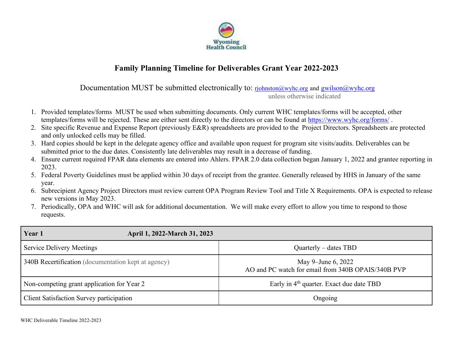

## **Family Planning Timeline for Deliverables Grant Year 2022-2023**

Documentation MUST be submitted electronically to:  $\eta$ <sub>i</sub>ohnston@wyhc.org and gwilson@wyhc.org unless otherwise indicated

- 1. Provided templates/forms MUST be used when submitting documents. Only current WHC templates/forms will be accepted, other templates/forms will be rejected. These are either sent directly to the directors or can be found at https://www.wyhc.org/forms/.
- 2. Site specific Revenue and Expense Report (previously E&R) spreadsheets are provided to the Project Directors. Spreadsheets are protected and only unlocked cells may be filled.
- 3. Hard copies should be kept in the delegate agency office and available upon request for program site visits/audits. Deliverables can be submitted prior to the due dates. Consistently late deliverables may result in a decrease of funding.
- 4. Ensure current required FPAR data elements are entered into Ahlers. FPAR 2.0 data collection began January 1, 2022 and grantee reporting in 2023.
- 5. Federal Poverty Guidelines must be applied within 30 days of receipt from the grantee. Generally released by HHS in January of the same year.
- 6. Subrecipient Agency Project Directors must review current OPA Program Review Tool and Title X Requirements. OPA is expected to release new versions in May 2023.
- 7. Periodically, OPA and WHC will ask for additional documentation. We will make every effort to allow you time to respond to those requests.

| Year 1                                               | April 1, 2022-March 31, 2023 |                                                                          |  |
|------------------------------------------------------|------------------------------|--------------------------------------------------------------------------|--|
| <b>Service Delivery Meetings</b>                     |                              | Quarterly – dates TBD                                                    |  |
| [340B Recertification (documentation kept at agency) |                              | May 9-June 6, 2022<br>AO and PC watch for email from 340B OPAIS/340B PVP |  |
| Non-competing grant application for Year 2           |                              | Early in 4 <sup>th</sup> quarter. Exact due date TBD                     |  |
| <b>Client Satisfaction Survey participation</b>      |                              | Ongoing                                                                  |  |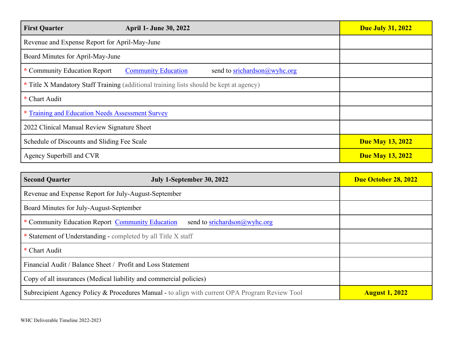| <b>First Quarter</b>                                                                    | <b>April 1- June 30, 2022</b>                                  | <b>Due July 31, 2022</b> |
|-----------------------------------------------------------------------------------------|----------------------------------------------------------------|--------------------------|
| Revenue and Expense Report for April-May-June                                           |                                                                |                          |
| Board Minutes for April-May-June                                                        |                                                                |                          |
| * Community Education Report                                                            | <b>Community Education</b><br>send to srichardson $@$ wyhc.org |                          |
| * Title X Mandatory Staff Training (additional training lists should be kept at agency) |                                                                |                          |
| * Chart Audit                                                                           |                                                                |                          |
| * Training and Education Needs Assessment Survey                                        |                                                                |                          |
| 2022 Clinical Manual Review Signature Sheet                                             |                                                                |                          |
| Schedule of Discounts and Sliding Fee Scale                                             |                                                                | <b>Due May 13, 2022</b>  |
| Agency Superbill and CVR                                                                |                                                                | <b>Due May 13, 2022</b>  |

| <b>Second Quarter</b>                                                                          | July 1-September 30, 2022 | Due October 28, 2022  |
|------------------------------------------------------------------------------------------------|---------------------------|-----------------------|
| Revenue and Expense Report for July-August-September                                           |                           |                       |
| Board Minutes for July-August-September                                                        |                           |                       |
| * Community Education Report Community Education<br>send to srichardson@wyhc.org               |                           |                       |
| * Statement of Understanding - completed by all Title X staff                                  |                           |                       |
| * Chart Audit                                                                                  |                           |                       |
| Financial Audit / Balance Sheet / Profit and Loss Statement                                    |                           |                       |
| Copy of all insurances (Medical liability and commercial policies)                             |                           |                       |
| Subrecipient Agency Policy & Procedures Manual - to align with current OPA Program Review Tool |                           | <b>August 1, 2022</b> |